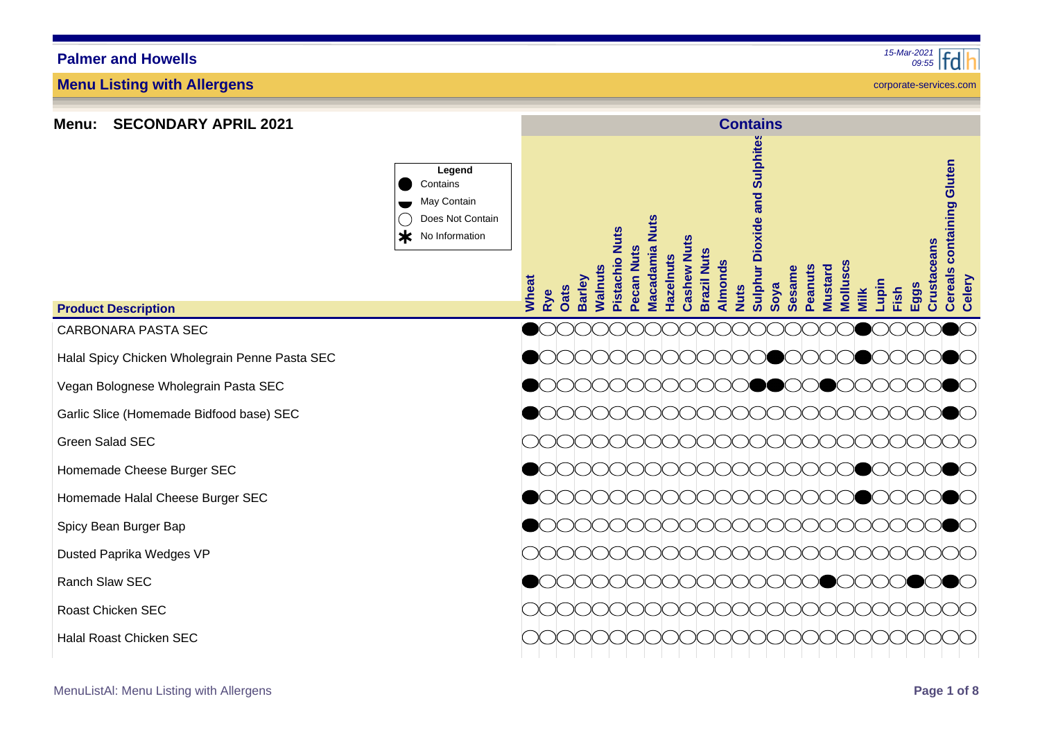**Menu Listing with Allergens**



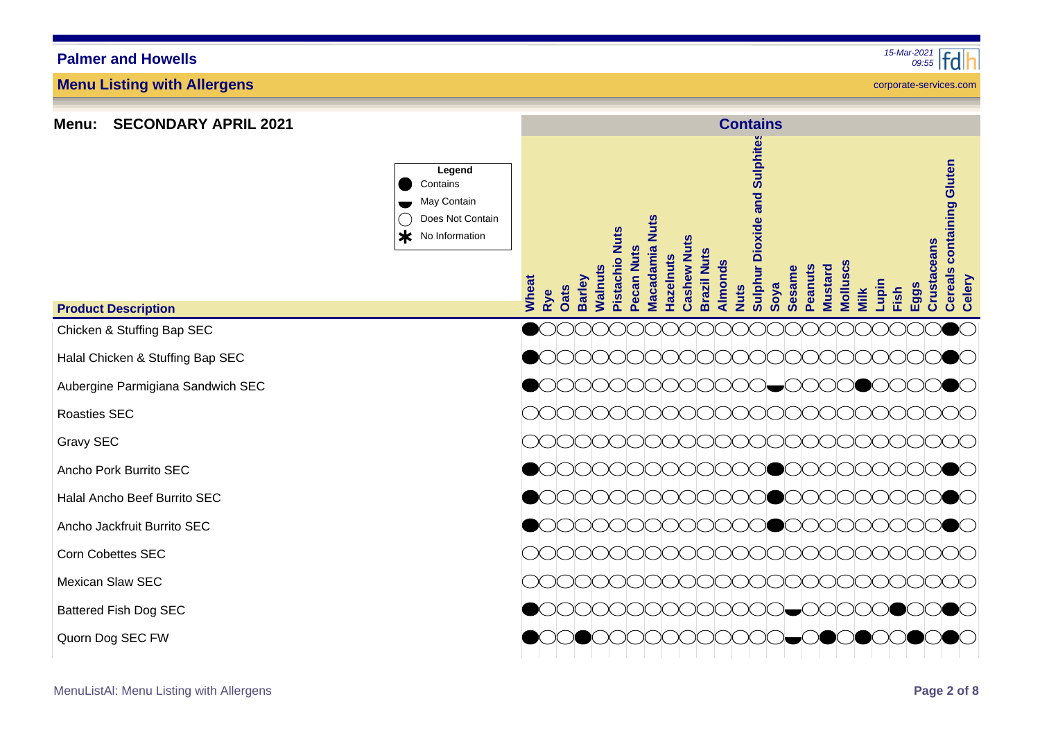| <b>SECONDARY APRIL 2021</b><br>Menu: |                                                                                   | <b>Contains</b>                                                                                                                                                                                                                                                                                                                                                                                                                       |
|--------------------------------------|-----------------------------------------------------------------------------------|---------------------------------------------------------------------------------------------------------------------------------------------------------------------------------------------------------------------------------------------------------------------------------------------------------------------------------------------------------------------------------------------------------------------------------------|
|                                      | Legend<br>Contains<br>May Contain<br>Does Not Contain<br>$\ast$<br>No Information | <b>Sulphur Dioxide and Sulphites</b><br>containing Gluten<br><b>Nuts</b><br>Pistachio Nuts<br><b>Cashew Nuts</b><br>Crustaceans<br><b>Macadamia</b><br>Pecan Nuts<br><b>Brazil Nuts</b><br><b>Hazelnuts</b><br>Almonds<br>Molluscs<br><b>Nalnuts</b><br>Peanuts<br><b>Vlustard</b><br>Sesame<br><b>Cereals</b><br><b>Barley</b><br>Celery<br>Wheat<br>Lupin<br>Soya<br>$E_{\text{QQS}}$<br>Vuts<br><b>Oats</b><br>Fish<br>Milk<br>Rye |
| <b>Product Description</b>           |                                                                                   |                                                                                                                                                                                                                                                                                                                                                                                                                                       |
| Chicken & Stuffing Bap SEC           |                                                                                   |                                                                                                                                                                                                                                                                                                                                                                                                                                       |
| Halal Chicken & Stuffing Bap SEC     |                                                                                   |                                                                                                                                                                                                                                                                                                                                                                                                                                       |
| Aubergine Parmigiana Sandwich SEC    |                                                                                   | ∶ )<br>$\bullet$ $\bullet$<br>( ) <del>_</del> ( )( )( )(<br>)( )(                                                                                                                                                                                                                                                                                                                                                                    |
| Roasties SEC                         |                                                                                   |                                                                                                                                                                                                                                                                                                                                                                                                                                       |
| Gravy SEC                            |                                                                                   |                                                                                                                                                                                                                                                                                                                                                                                                                                       |
| Ancho Pork Burrito SEC               |                                                                                   |                                                                                                                                                                                                                                                                                                                                                                                                                                       |
| Halal Ancho Beef Burrito SEC         |                                                                                   |                                                                                                                                                                                                                                                                                                                                                                                                                                       |
| Ancho Jackfruit Burrito SEC          |                                                                                   |                                                                                                                                                                                                                                                                                                                                                                                                                                       |
| <b>Corn Cobettes SEC</b>             |                                                                                   |                                                                                                                                                                                                                                                                                                                                                                                                                                       |
| Mexican Slaw SEC                     |                                                                                   |                                                                                                                                                                                                                                                                                                                                                                                                                                       |
| <b>Battered Fish Dog SEC</b>         |                                                                                   |                                                                                                                                                                                                                                                                                                                                                                                                                                       |
| Quorn Dog SEC FW                     |                                                                                   |                                                                                                                                                                                                                                                                                                                                                                                                                                       |

**Menu: SECONDARY APRIL 2021**

**Menu Listing with Allergens**

MenuListAl: Menu Listing with Allergens **Page 2 of 8**

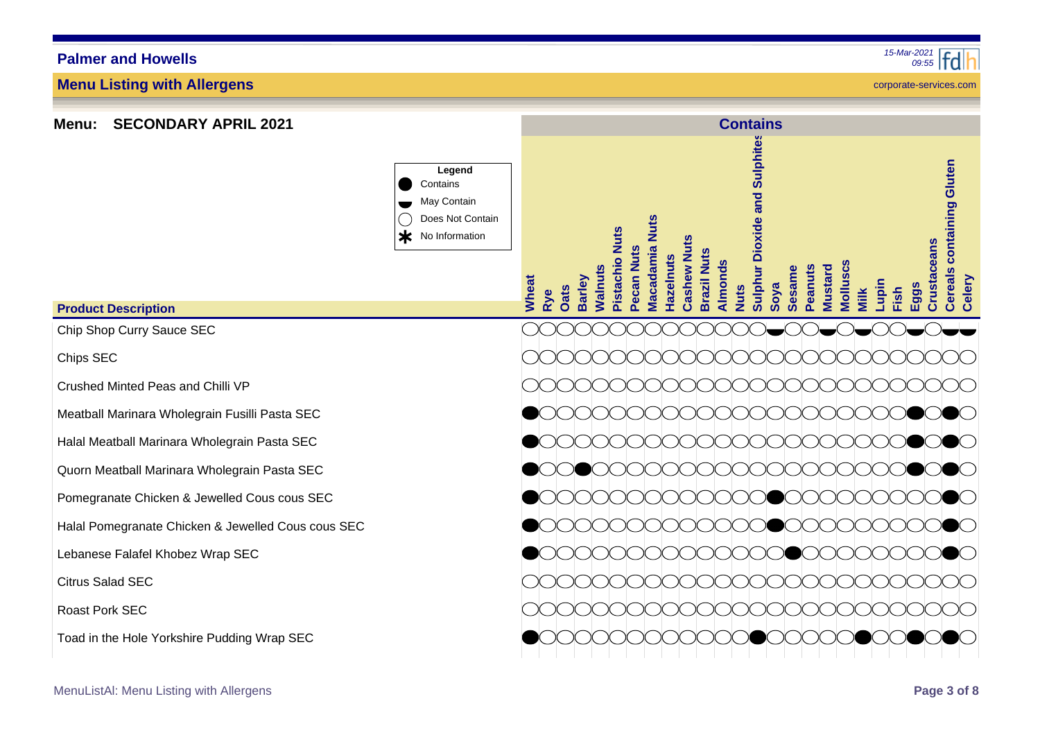**Menu: SECONDARY APRIL 2021**

**Menu Listing with Allergens**

**Legend** Contains May Contain Does Not Contain Ж No Information

|  | Crushed Minted Peas and Chilli VP |  |  |
|--|-----------------------------------|--|--|

Chip Shop Curry Sauce SEC

**Product Description**

Chips SEC

Meatball Marinara Wholegrain Fusilli Pasta SEC

Halal Meatball Marinara Wholegrain Pasta SEC

Quorn Meatball Marinara Wholegrain Pasta SEC

Pomegranate Chicken & Jewelled Cous cous SEC

Halal Pomegranate Chicken & Jewelled Cous cous SEC

Lebanese Falafel Khobez Wrap SEC

Citrus Salad SEC

Roast Pork SEC

Toad in the Hole Yorkshire Pudding Wrap SEC



**Contains**

*09:55 15-Mar-2021*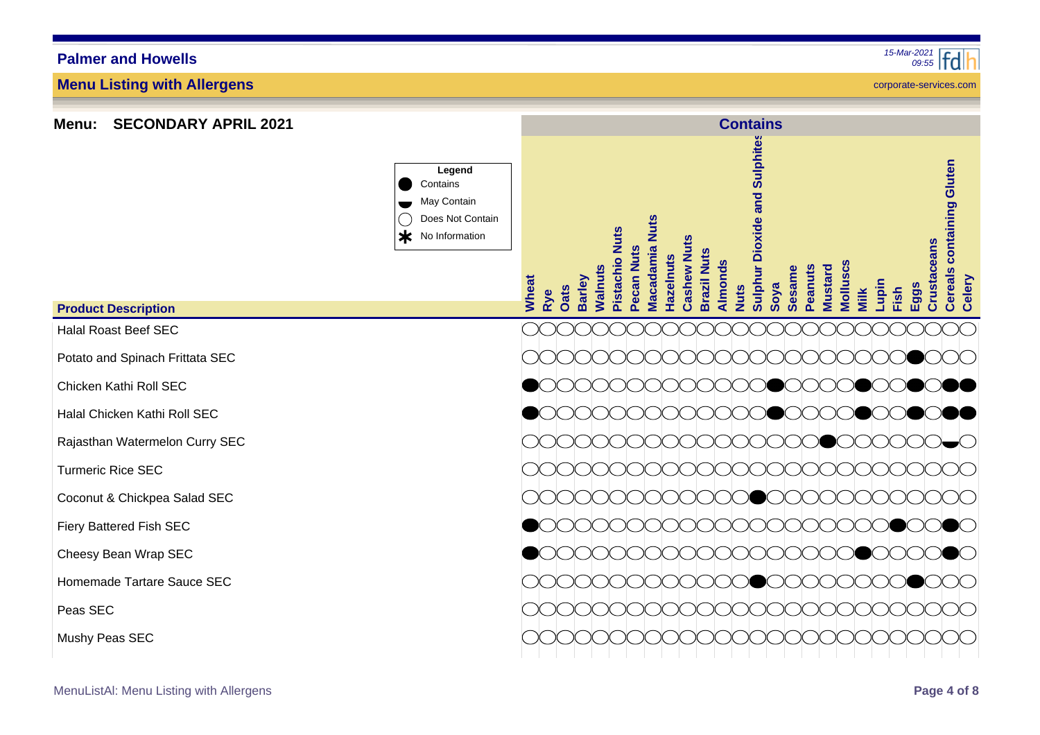#### Halal Roast Beef SEC **Product Description**

Potato and Spinach Frittata SEC

**Menu: SECONDARY APRIL 2021**

**Menu Listing with Allergens**

**Palmer and Howells**

Chicken Kathi Roll SEC

Halal Chicken Kathi Roll SEC

Rajasthan Watermelon Curry SEC

Turmeric Rice SEC

Coconut & Chickpea Salad SEC

Fiery Battered Fish SEC

Cheesy Bean Wrap SEC

Homemade Tartare Sauce SEC

Peas SEC

Mushy Peas SEC

corporate-services.com

| Legend<br>Contains<br>May Contain<br>Does Not Contain<br>≭<br>No Information | Wheat<br>Rye | Walnuts<br><b>Barley</b><br>Oats | Pistachio Nuts<br>Pecan Nuts | Macadamia Nuts<br>Hazelnuts | <b>Cashew Nuts</b><br><b>Brazil Nuts</b> | <b>Almonds</b><br><b>Nuts</b> | Sulphur Dioxide and Sulphites<br>Soya | Peanuts<br><b>Sesame</b> | <b>Molluscs</b><br><b>Mustard</b> | Milk | Lupin<br>Fish | <b>Crustaceans</b><br>Eggs | <b>Cereals containing Gluten</b><br>Celery |
|------------------------------------------------------------------------------|--------------|----------------------------------|------------------------------|-----------------------------|------------------------------------------|-------------------------------|---------------------------------------|--------------------------|-----------------------------------|------|---------------|----------------------------|--------------------------------------------|
|                                                                              |              |                                  |                              |                             |                                          |                               |                                       |                          |                                   |      |               |                            |                                            |
|                                                                              |              |                                  |                              |                             |                                          |                               |                                       |                          |                                   |      |               |                            |                                            |
|                                                                              |              |                                  |                              |                             |                                          |                               |                                       |                          |                                   |      |               |                            |                                            |
|                                                                              |              |                                  |                              |                             |                                          |                               |                                       |                          |                                   |      |               |                            |                                            |
|                                                                              |              |                                  |                              |                             |                                          |                               |                                       |                          |                                   |      |               |                            |                                            |
|                                                                              |              |                                  |                              |                             |                                          |                               |                                       |                          |                                   |      |               |                            |                                            |
|                                                                              |              |                                  |                              |                             |                                          |                               |                                       |                          |                                   |      |               |                            |                                            |
|                                                                              |              |                                  |                              |                             |                                          |                               |                                       |                          |                                   |      |               |                            |                                            |
|                                                                              |              |                                  |                              |                             |                                          |                               |                                       |                          |                                   |      |               |                            |                                            |
|                                                                              |              |                                  |                              |                             |                                          |                               |                                       |                          |                                   |      |               |                            |                                            |
|                                                                              |              |                                  |                              |                             |                                          |                               |                                       |                          |                                   |      |               |                            |                                            |
|                                                                              |              |                                  |                              |                             |                                          |                               |                                       |                          |                                   |      |               |                            |                                            |

**Contains**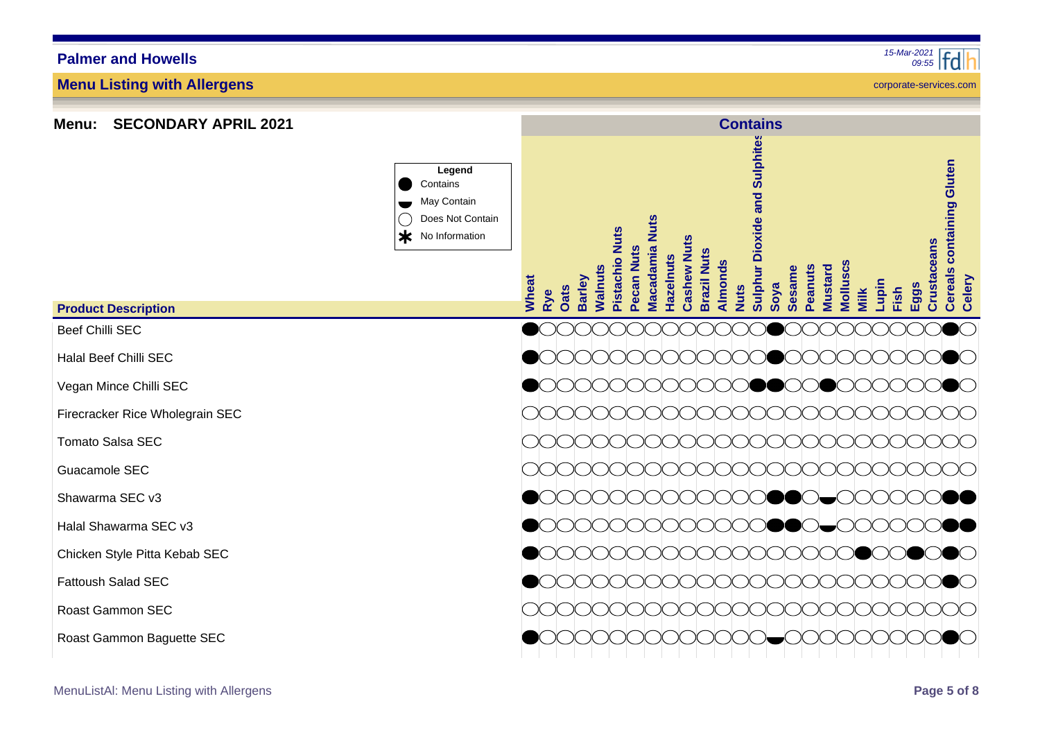### Fattoush

Roast G

Roast G

| t Description           | Legend<br>Contains<br>May Contain<br>Does Not Contain<br>$\ast$<br>No Information | <b>Nuts</b><br><b>Pistachio Nuts</b><br>Macadamia<br>Pecan Nuts<br>Hazelnuts<br>Walnuts<br>Wheat<br><b>Barley</b><br>Oats<br>Rye | <b>Cashew Nuts</b><br><b>Brazil Nuts</b><br>Almonds<br><b>Nuts</b> | <b>Dioxide and Sulphites</b><br><b>Peanuts</b><br>Sulphur<br><b>Sesame</b><br>Soya | <b>Molluscs</b><br><b>Mustard</b><br>Milk | Lupin<br>Fish |
|-------------------------|-----------------------------------------------------------------------------------|----------------------------------------------------------------------------------------------------------------------------------|--------------------------------------------------------------------|------------------------------------------------------------------------------------|-------------------------------------------|---------------|
| illi SEC                |                                                                                   |                                                                                                                                  |                                                                    |                                                                                    |                                           |               |
| ef Chilli SEC           |                                                                                   |                                                                                                                                  |                                                                    |                                                                                    |                                           |               |
| Mince Chilli SEC        |                                                                                   |                                                                                                                                  |                                                                    |                                                                                    |                                           |               |
| ker Rice Wholegrain SEC |                                                                                   |                                                                                                                                  |                                                                    |                                                                                    |                                           |               |
| Salsa SEC               |                                                                                   |                                                                                                                                  |                                                                    |                                                                                    |                                           |               |
| ole SEC                 |                                                                                   |                                                                                                                                  |                                                                    |                                                                                    |                                           |               |
| ma SEC v3               |                                                                                   |                                                                                                                                  |                                                                    |                                                                                    |                                           |               |
| awarma SEC v3           |                                                                                   |                                                                                                                                  |                                                                    |                                                                                    |                                           |               |
| Style Pitta Kebab SEC   |                                                                                   |                                                                                                                                  |                                                                    |                                                                                    |                                           |               |
| า Salad SEC             |                                                                                   |                                                                                                                                  |                                                                    |                                                                                    |                                           |               |
| ammon SEC               |                                                                                   |                                                                                                                                  |                                                                    |                                                                                    |                                           |               |
| ammon Baguette SEC      |                                                                                   |                                                                                                                                  |                                                                    |                                                                                    |                                           |               |

**Contains**

# **Product Description**

**Palmer and Howells**

Beef Ch

Halal Be

Vegan N

**Firecrac** 

**Menu: SECONDARY APRIL 2021**

**Menu Listing with Allergens**

Tomato

Guacam

Shawarr

Halal Sh

Chicken



corporate-services.com

**Eggs**

**Crustaceans**

**Crustaceans** 

**Cereals containing Gluten**

**Cereals containing Gluten** 

**Celery**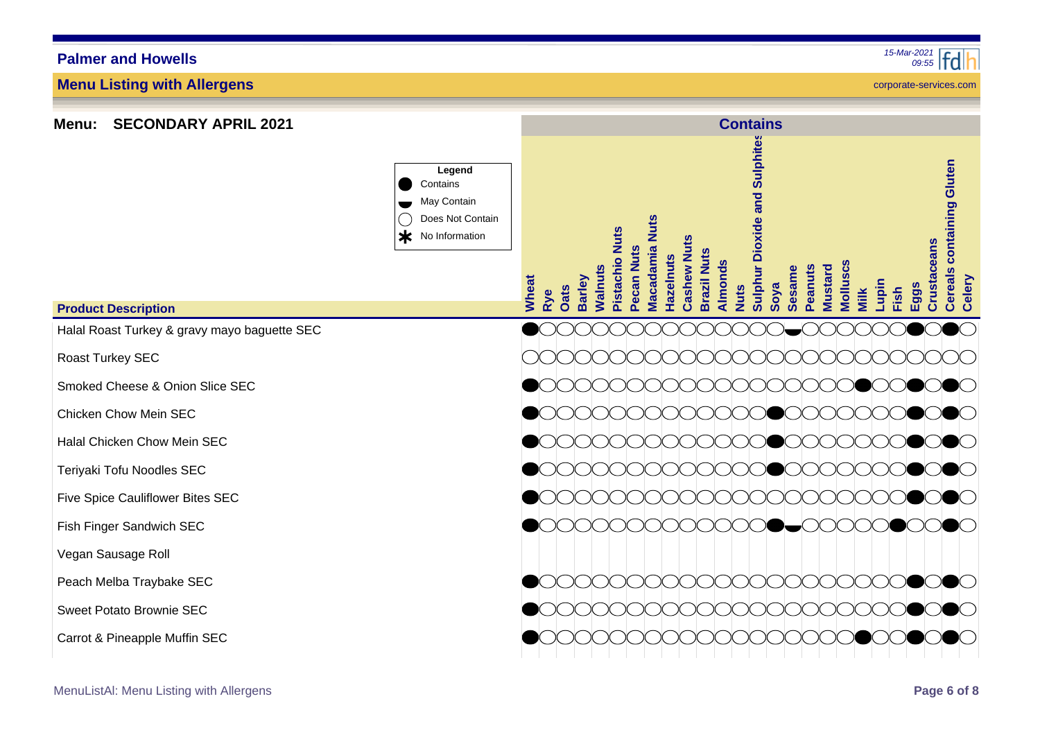| <b>SECONDARY APRIL 2021</b><br>Menu:         |                                                                                   | <b>Contains</b>                                                                                                                                                                                                                                                                                                                                                                                                              |
|----------------------------------------------|-----------------------------------------------------------------------------------|------------------------------------------------------------------------------------------------------------------------------------------------------------------------------------------------------------------------------------------------------------------------------------------------------------------------------------------------------------------------------------------------------------------------------|
|                                              | Legend<br>Contains<br>May Contain<br>Does Not Contain<br>$\ast$<br>No Information | Sulphite<br>containing Gluten<br>and<br><b>Nuts</b><br>Sulphur Dioxide<br>Pistachio Nuts<br>Cashew Nuts<br>Crustaceans<br><b>Macadamia</b><br>Pecan Nuts<br><b>Brazil Nuts</b><br>azelnuts<br>Almonds<br><b>Molluscs</b><br><b>Nalnuts</b><br>Peanuts<br><b>Mustard</b><br><b>Sesame</b><br><b>Cereals</b><br>Wheat<br><b>Barley</b><br>Celery<br>Lupin<br>Soya<br>Eggs<br><b>Oats</b><br><b>Nuts</b><br>Fish<br>Milk<br>Rye |
| <b>Product Description</b>                   |                                                                                   |                                                                                                                                                                                                                                                                                                                                                                                                                              |
| Halal Roast Turkey & gravy mayo baguette SEC |                                                                                   |                                                                                                                                                                                                                                                                                                                                                                                                                              |
| Roast Turkey SEC                             |                                                                                   |                                                                                                                                                                                                                                                                                                                                                                                                                              |
| Smoked Cheese & Onion Slice SEC              |                                                                                   | $\bigcirc$<br>$\bullet$ $\circ$ $\circ$<br>DOOO<br>$\lambda$<br>7 Х                                                                                                                                                                                                                                                                                                                                                          |
| Chicken Chow Mein SEC                        |                                                                                   | $\bullet$ $\circ$<br>к к<br>$\mathcal{M}$                                                                                                                                                                                                                                                                                                                                                                                    |
| Halal Chicken Chow Mein SEC                  |                                                                                   | DOOO<br>к                                                                                                                                                                                                                                                                                                                                                                                                                    |
| Teriyaki Tofu Noodles SEC                    |                                                                                   | $\bullet$ ( )                                                                                                                                                                                                                                                                                                                                                                                                                |
| Five Spice Cauliflower Bites SEC             |                                                                                   |                                                                                                                                                                                                                                                                                                                                                                                                                              |
| Fish Finger Sandwich SEC                     |                                                                                   |                                                                                                                                                                                                                                                                                                                                                                                                                              |
| Vegan Sausage Roll                           |                                                                                   |                                                                                                                                                                                                                                                                                                                                                                                                                              |
| Peach Melba Traybake SEC                     |                                                                                   |                                                                                                                                                                                                                                                                                                                                                                                                                              |
| Sweet Potato Brownie SEC                     |                                                                                   |                                                                                                                                                                                                                                                                                                                                                                                                                              |
| Carrot & Pineapple Muffin SEC                |                                                                                   |                                                                                                                                                                                                                                                                                                                                                                                                                              |

**Menu: SECONDARY APRIL 2021**

**Menu Listing with Allergens**

MenuListAl: Menu Listing with Allergens **Page 6 of 8**

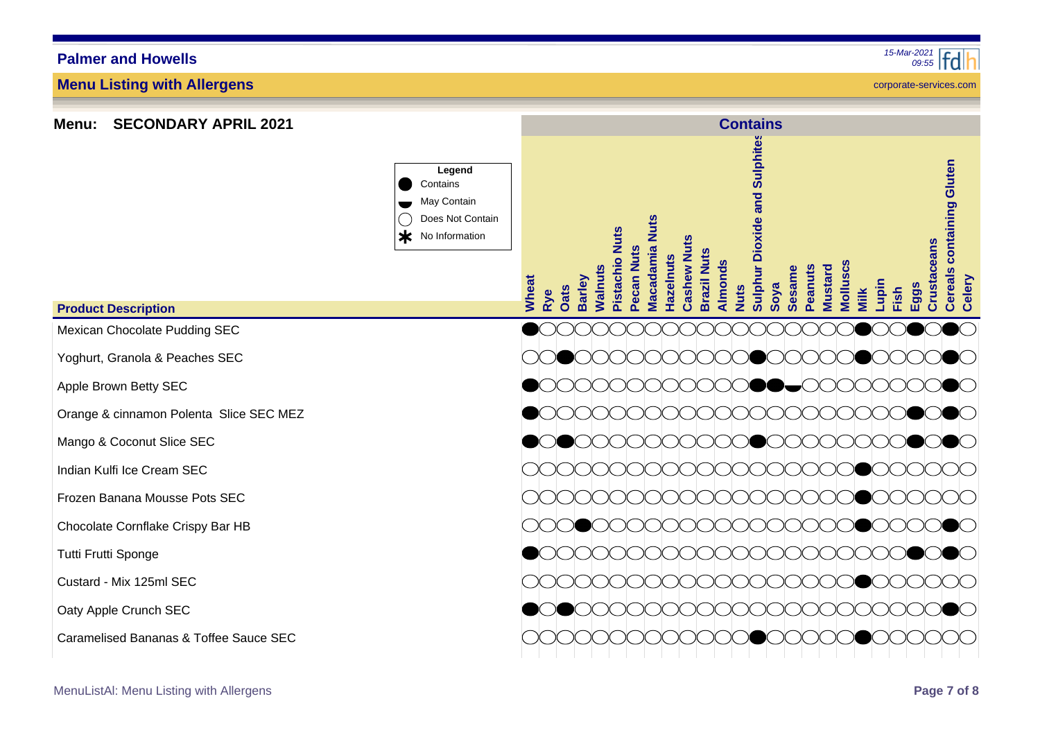| <b>SECONDARY APRIL 2021</b><br><b>Menu:</b> |                                                                                   | <b>Contains</b>                                                                                                                                                                                                                                                                                                                                                                                                                              |  |  |  |  |  |  |  |  |  |  |  |
|---------------------------------------------|-----------------------------------------------------------------------------------|----------------------------------------------------------------------------------------------------------------------------------------------------------------------------------------------------------------------------------------------------------------------------------------------------------------------------------------------------------------------------------------------------------------------------------------------|--|--|--|--|--|--|--|--|--|--|--|
|                                             | Legend<br>Contains<br>May Contain<br>Does Not Contain<br>$\ast$<br>No Information | <b>Sulphur Dioxide and Sulphites</b><br>containing Gluten<br><b>Nuts</b><br><b>Nuts</b><br>Cashew Nuts<br>Crustaceans<br><b>Macadamia</b><br>Pecan Nuts<br><b>Brazil Nuts</b><br><b>Hazelnuts</b><br><b>Pistachio</b><br>Almonds<br>Molluscs<br><b>Nalnuts</b><br>Peanuts<br><b>Mustard</b><br><b>Sesame</b><br><b>Cereals</b><br><b>Barley</b><br>Celery<br>Wheat<br>Lupin<br>Soya<br>$=99$ s<br><b>Nuts</b><br>Oats<br>Fish<br>Milk<br>Rye |  |  |  |  |  |  |  |  |  |  |  |
| <b>Product Description</b>                  |                                                                                   |                                                                                                                                                                                                                                                                                                                                                                                                                                              |  |  |  |  |  |  |  |  |  |  |  |
| Mexican Chocolate Pudding SEC               |                                                                                   |                                                                                                                                                                                                                                                                                                                                                                                                                                              |  |  |  |  |  |  |  |  |  |  |  |
| Yoghurt, Granola & Peaches SEC              |                                                                                   | ( )( )<br>( ) ( ) ( ) ( )                                                                                                                                                                                                                                                                                                                                                                                                                    |  |  |  |  |  |  |  |  |  |  |  |
| Apple Brown Betty SEC                       |                                                                                   | $\lambda$<br>■━∈ 人 人<br>$\mathcal{N}$                                                                                                                                                                                                                                                                                                                                                                                                        |  |  |  |  |  |  |  |  |  |  |  |
| Orange & cinnamon Polenta Slice SEC MEZ     |                                                                                   | $\bullet$ ( )<br>$\mathbb{R} \rightarrow$                                                                                                                                                                                                                                                                                                                                                                                                    |  |  |  |  |  |  |  |  |  |  |  |
| Mango & Coconut Slice SEC                   |                                                                                   |                                                                                                                                                                                                                                                                                                                                                                                                                                              |  |  |  |  |  |  |  |  |  |  |  |
| Indian Kulfi Ice Cream SEC                  |                                                                                   |                                                                                                                                                                                                                                                                                                                                                                                                                                              |  |  |  |  |  |  |  |  |  |  |  |
| Frozen Banana Mousse Pots SEC               |                                                                                   |                                                                                                                                                                                                                                                                                                                                                                                                                                              |  |  |  |  |  |  |  |  |  |  |  |
| Chocolate Cornflake Crispy Bar HB           |                                                                                   |                                                                                                                                                                                                                                                                                                                                                                                                                                              |  |  |  |  |  |  |  |  |  |  |  |
| Tutti Frutti Sponge                         |                                                                                   |                                                                                                                                                                                                                                                                                                                                                                                                                                              |  |  |  |  |  |  |  |  |  |  |  |
| Custard - Mix 125ml SEC                     |                                                                                   |                                                                                                                                                                                                                                                                                                                                                                                                                                              |  |  |  |  |  |  |  |  |  |  |  |
| Oaty Apple Crunch SEC                       |                                                                                   |                                                                                                                                                                                                                                                                                                                                                                                                                                              |  |  |  |  |  |  |  |  |  |  |  |
| Caramelised Bananas & Toffee Sauce SEC      |                                                                                   |                                                                                                                                                                                                                                                                                                                                                                                                                                              |  |  |  |  |  |  |  |  |  |  |  |

**Menu Listing with Allergens**

**Menu: SECONDARY APRIL 2021**

MenuListAl: Menu Listing with Allergens **Page 7 of 8**